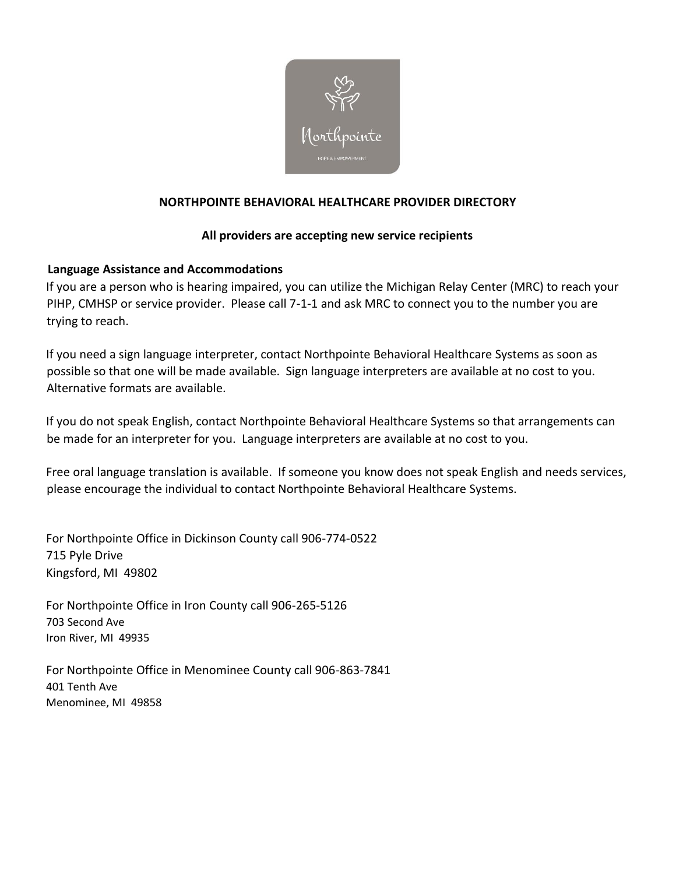

# **NORTHPOINTE BEHAVIORAL HEALTHCARE PROVIDER DIRECTORY**

### **All providers are accepting new service recipients**

# **Language Assistance and Accommodations**

If you are a person who is hearing impaired, you can utilize the Michigan Relay Center (MRC) to reach your PIHP, CMHSP or service provider. Please call 7-1-1 and ask MRC to connect you to the number you are trying to reach.

If you need a sign language interpreter, contact Northpointe Behavioral Healthcare Systems as soon as possible so that one will be made available. Sign language interpreters are available at no cost to you. Alternative formats are available.

If you do not speak English, contact Northpointe Behavioral Healthcare Systems so that arrangements can be made for an interpreter for you. Language interpreters are available at no cost to you.

Free oral language translation is available. If someone you know does not speak English and needs services, please encourage the individual to contact Northpointe Behavioral Healthcare Systems.

For Northpointe Office in Dickinson County call 906-774-0522 715 Pyle Drive Kingsford, MI 49802

For Northpointe Office in Iron County call 906-265-5126 703 Second Ave Iron River, MI 49935

For Northpointe Office in Menominee County call 906-863-7841 401 Tenth Ave Menominee, MI 49858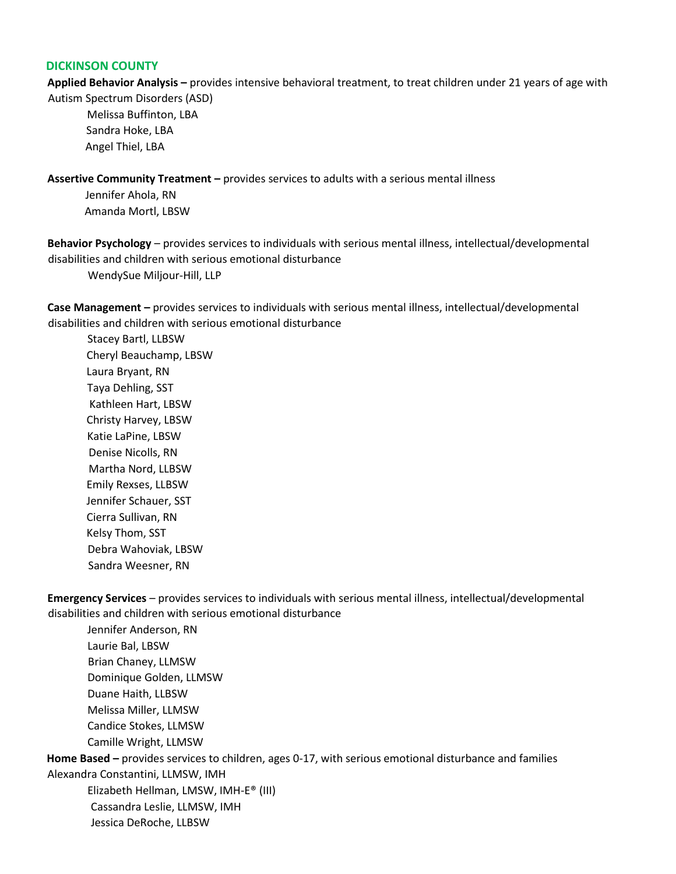#### **DICKINSON COUNTY**

**Applied Behavior Analysis –** provides intensive behavioral treatment, to treat children under 21 years of age with Autism Spectrum Disorders (ASD)

 Melissa Buffinton, LBA Sandra Hoke, LBA Angel Thiel, LBA

**Assertive Community Treatment –** provides services to adults with a serious mental illness

 Jennifer Ahola, RN Amanda Mortl, LBSW

**Behavior Psychology** – provides services to individuals with serious mental illness, intellectual/developmental disabilities and children with serious emotional disturbance

WendySue Miljour-Hill, LLP

**Case Management –** provides services to individuals with serious mental illness, intellectual/developmental disabilities and children with serious emotional disturbance

 Stacey Bartl, LLBSW Cheryl Beauchamp, LBSW Laura Bryant, RN Taya Dehling, SST Kathleen Hart, LBSW Christy Harvey, LBSW Katie LaPine, LBSW Denise Nicolls, RN Martha Nord, LLBSW Emily Rexses, LLBSW Jennifer Schauer, SST Cierra Sullivan, RN Kelsy Thom, SST Debra Wahoviak, LBSW Sandra Weesner, RN

**Emergency Services** – provides services to individuals with serious mental illness, intellectual/developmental disabilities and children with serious emotional disturbance

Jennifer Anderson, RN Laurie Bal, LBSW Brian Chaney, LLMSW Dominique Golden, LLMSW Duane Haith, LLBSW Melissa Miller, LLMSW Candice Stokes, LLMSW Camille Wright, LLMSW **Home Based –** provides services to children, ages 0-17, with serious emotional disturbance and families Alexandra Constantini, LLMSW, IMH Elizabeth Hellman, LMSW, IMH-E® (III) Cassandra Leslie, LLMSW, IMH Jessica DeRoche, LLBSW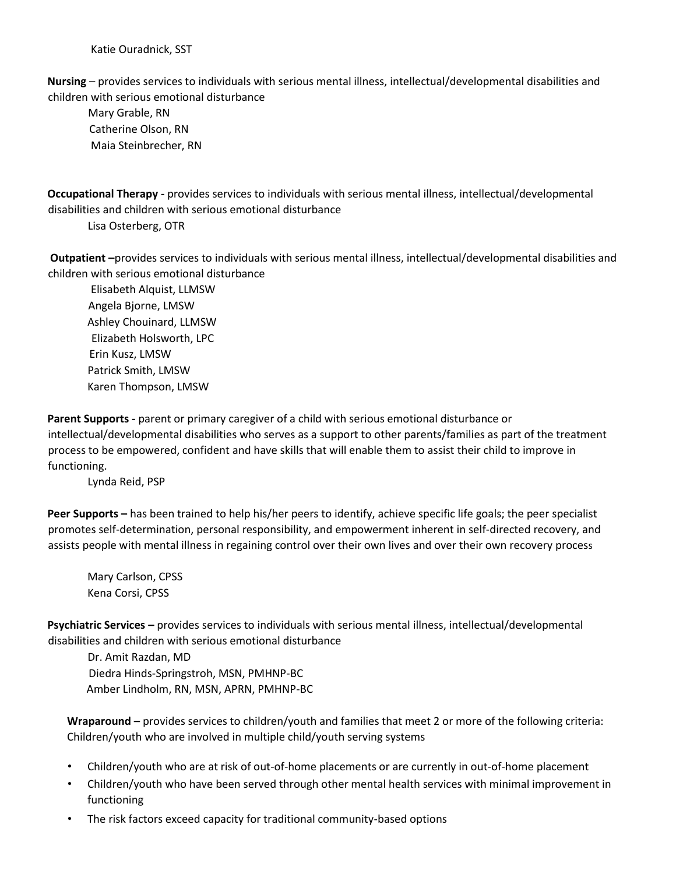Katie Ouradnick, SST

**Nursing** – provides services to individuals with serious mental illness, intellectual/developmental disabilities and children with serious emotional disturbance

 Mary Grable, RN Catherine Olson, RN Maia Steinbrecher, RN

**Occupational Therapy -** provides services to individuals with serious mental illness, intellectual/developmental disabilities and children with serious emotional disturbance

Lisa Osterberg, OTR

**Outpatient –**provides services to individuals with serious mental illness, intellectual/developmental disabilities and children with serious emotional disturbance

 Elisabeth Alquist, LLMSW Angela Bjorne, LMSW Ashley Chouinard, LLMSW Elizabeth Holsworth, LPC Erin Kusz, LMSW Patrick Smith, LMSW Karen Thompson, LMSW

**Parent Supports -** parent or primary caregiver of a child with serious emotional disturbance or intellectual/developmental disabilities who serves as a support to other parents/families as part of the treatment process to be empowered, confident and have skills that will enable them to assist their child to improve in functioning.

Lynda Reid, PSP

**Peer Supports –** has been trained to help his/her peers to identify, achieve specific life goals; the peer specialist promotes self-determination, personal responsibility, and empowerment inherent in self-directed recovery, and assists people with mental illness in regaining control over their own lives and over their own recovery process

Mary Carlson, CPSS Kena Corsi, CPSS

**Psychiatric Services –** provides services to individuals with serious mental illness, intellectual/developmental disabilities and children with serious emotional disturbance

 Dr. Amit Razdan, MD Diedra Hinds-Springstroh, MSN, PMHNP-BC Amber Lindholm, RN, MSN, APRN, PMHNP-BC

**Wraparound –** provides services to children/youth and families that meet 2 or more of the following criteria: Children/youth who are involved in multiple child/youth serving systems

- Children/youth who are at risk of out-of-home placements or are currently in out-of-home placement
- Children/youth who have been served through other mental health services with minimal improvement in functioning
- The risk factors exceed capacity for traditional community-based options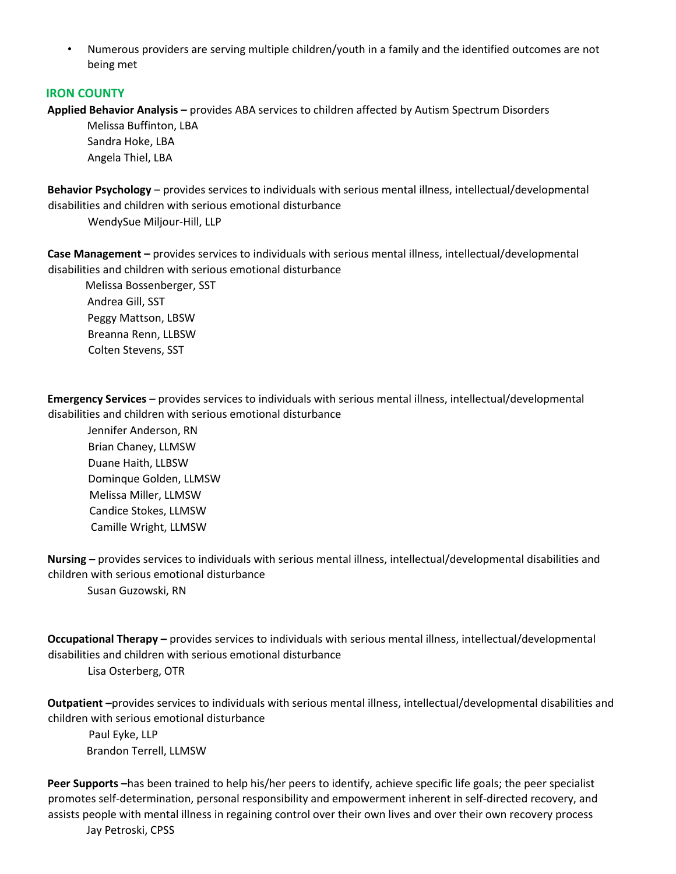• Numerous providers are serving multiple children/youth in a family and the identified outcomes are not being met

### **IRON COUNTY**

**Applied Behavior Analysis –** provides ABA services to children affected by Autism Spectrum Disorders

Melissa Buffinton, LBA Sandra Hoke, LBA Angela Thiel, LBA

**Behavior Psychology** – provides services to individuals with serious mental illness, intellectual/developmental disabilities and children with serious emotional disturbance

WendySue Miljour-Hill, LLP

**Case Management –** provides services to individuals with serious mental illness, intellectual/developmental disabilities and children with serious emotional disturbance

 Melissa Bossenberger, SST Andrea Gill, SST Peggy Mattson, LBSW Breanna Renn, LLBSW Colten Stevens, SST

**Emergency Services** – provides services to individuals with serious mental illness, intellectual/developmental disabilities and children with serious emotional disturbance

 Jennifer Anderson, RN Brian Chaney, LLMSW Duane Haith, LLBSW Dominque Golden, LLMSW Melissa Miller, LLMSW Candice Stokes, LLMSW Camille Wright, LLMSW

**Nursing –** provides services to individuals with serious mental illness, intellectual/developmental disabilities and children with serious emotional disturbance Susan Guzowski, RN

**Occupational Therapy –** provides services to individuals with serious mental illness, intellectual/developmental disabilities and children with serious emotional disturbance Lisa Osterberg, OTR

**Outpatient –**provides services to individuals with serious mental illness, intellectual/developmental disabilities and children with serious emotional disturbance

 Paul Eyke, LLP Brandon Terrell, LLMSW

**Peer Supports –**has been trained to help his/her peers to identify, achieve specific life goals; the peer specialist promotes self-determination, personal responsibility and empowerment inherent in self-directed recovery, and assists people with mental illness in regaining control over their own lives and over their own recovery process Jay Petroski, CPSS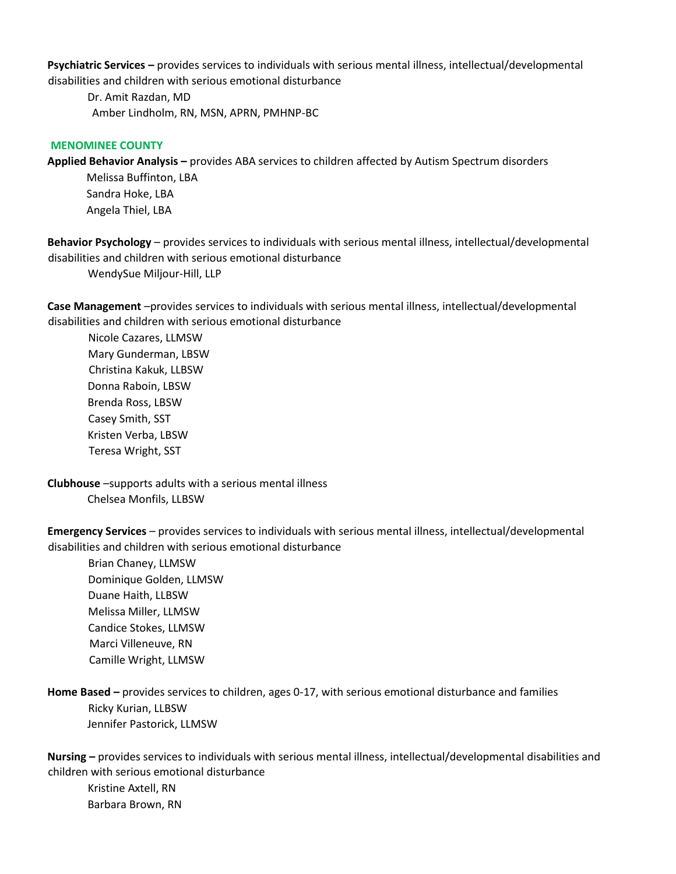**Psychiatric Services –** provides services to individuals with serious mental illness, intellectual/developmental disabilities and children with serious emotional disturbance

 Dr. Amit Razdan, MD Amber Lindholm, RN, MSN, APRN, PMHNP-BC

### **MENOMINEE COUNTY**

**Applied Behavior Analysis –** provides ABA services to children affected by Autism Spectrum disorders

Melissa Buffinton, LBA Sandra Hoke, LBA Angela Thiel, LBA

**Behavior Psychology** – provides services to individuals with serious mental illness, intellectual/developmental disabilities and children with serious emotional disturbance

WendySue Miljour-Hill, LLP

**Case Management** –provides services to individuals with serious mental illness, intellectual/developmental disabilities and children with serious emotional disturbance

 Nicole Cazares, LLMSW Mary Gunderman, LBSW Christina Kakuk, LLBSW Donna Raboin, LBSW Brenda Ross, LBSW Casey Smith, SST Kristen Verba, LBSW Teresa Wright, SST

**Clubhouse** –supports adults with a serious mental illness Chelsea Monfils, LLBSW

**Emergency Services** – provides services to individuals with serious mental illness, intellectual/developmental disabilities and children with serious emotional disturbance

 Brian Chaney, LLMSW Dominique Golden, LLMSW Duane Haith, LLBSW Melissa Miller, LLMSW Candice Stokes, LLMSW Marci Villeneuve, RN Camille Wright, LLMSW

**Home Based –** provides services to children, ages 0-17, with serious emotional disturbance and families Ricky Kurian, LLBSW Jennifer Pastorick, LLMSW

**Nursing –** provides services to individuals with serious mental illness, intellectual/developmental disabilities and children with serious emotional disturbance

 Kristine Axtell, RN Barbara Brown, RN